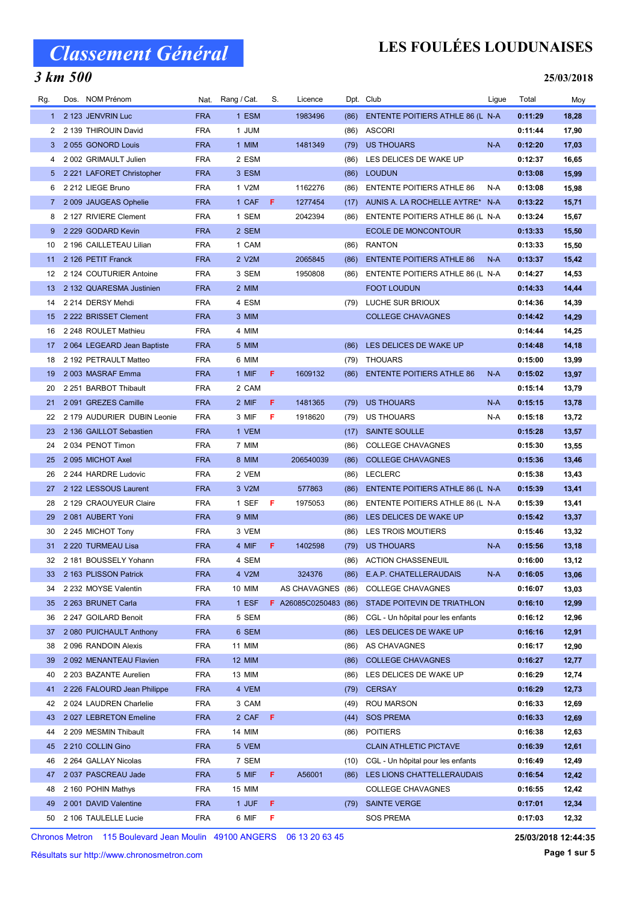### 3 km 500

## LES FOULÉES LOUDUNAISES

#### 25/03/2018

| Rg.         | Dos. NOM Prénom             |            | Nat. Rang / Cat. | S. | Licence                      |      | Dpt. Club                         | Ligue | Total   | Moy   |
|-------------|-----------------------------|------------|------------------|----|------------------------------|------|-----------------------------------|-------|---------|-------|
|             | 1 2 123 JENVRIN Luc         | <b>FRA</b> | 1 ESM            |    | 1983496                      | (86) | ENTENTE POITIERS ATHLE 86 (L N-A  |       | 0:11:29 | 18,28 |
| 2           | 2 139 THIROUIN David        | <b>FRA</b> | 1 JUM            |    |                              | (86) | <b>ASCORI</b>                     |       | 0:11:44 | 17,90 |
| 3           | 2055 GONORD Louis           | <b>FRA</b> | 1 MIM            |    | 1481349                      | (79) | <b>US THOUARS</b>                 | $N-A$ | 0:12:20 | 17,03 |
| 4           | 2 002 GRIMAULT Julien       | <b>FRA</b> | 2 ESM            |    |                              | (86) | LES DELICES DE WAKE UP            |       | 0:12:37 | 16,65 |
| 5           | 2 221 LAFORET Christopher   | <b>FRA</b> | 3 ESM            |    |                              | (86) | <b>LOUDUN</b>                     |       | 0:13:08 | 15,99 |
| 6           | 2 212 LIEGE Bruno           | <b>FRA</b> | 1 V2M            |    | 1162276                      | (86) | <b>ENTENTE POITIERS ATHLE 86</b>  | N-A   | 0:13:08 | 15,98 |
| $7^{\circ}$ | 2 009 JAUGEAS Ophelie       | <b>FRA</b> | 1 CAF            | F  | 1277454                      | (17) | AUNIS A. LA ROCHELLE AYTRE* N-A   |       | 0:13:22 | 15,71 |
| 8           | 2 127 RIVIERE Clement       | <b>FRA</b> | 1 SEM            |    | 2042394                      | (86) | ENTENTE POITIERS ATHLE 86 (L N-A  |       | 0:13:24 | 15,67 |
| 9           | 2 229 GODARD Kevin          | <b>FRA</b> | 2 SEM            |    |                              |      | <b>ECOLE DE MONCONTOUR</b>        |       | 0:13:33 | 15,50 |
| 10          | 2 196 CAILLETEAU Lilian     | <b>FRA</b> | 1 CAM            |    |                              | (86) | <b>RANTON</b>                     |       | 0:13:33 | 15,50 |
| 11          | 2 126 PETIT Franck          | <b>FRA</b> | 2 V2M            |    | 2065845                      | (86) | <b>ENTENTE POITIERS ATHLE 86</b>  | N-A   | 0:13:37 | 15,42 |
| 12          | 2 124 COUTURIER Antoine     | <b>FRA</b> | 3 SEM            |    | 1950808                      | (86) | ENTENTE POITIERS ATHLE 86 (L N-A  |       | 0:14:27 | 14,53 |
| 13          | 2 132 QUARESMA Justinien    | <b>FRA</b> | 2 MIM            |    |                              |      | <b>FOOT LOUDUN</b>                |       | 0:14:33 | 14,44 |
| 14          | 2 214 DERSY Mehdi           | <b>FRA</b> | 4 ESM            |    |                              | (79) | LUCHE SUR BRIOUX                  |       | 0:14:36 | 14,39 |
| 15          | 2 222 BRISSET Clement       | <b>FRA</b> | 3 MIM            |    |                              |      | <b>COLLEGE CHAVAGNES</b>          |       | 0:14:42 | 14,29 |
| 16          | 2 248 ROULET Mathieu        | <b>FRA</b> | 4 MIM            |    |                              |      |                                   |       | 0:14:44 | 14,25 |
| 17          | 2064 LEGEARD Jean Baptiste  | <b>FRA</b> | 5 MIM            |    |                              | (86) | LES DELICES DE WAKE UP            |       | 0:14:48 | 14,18 |
| 18          | 2 192 PETRAULT Matteo       | <b>FRA</b> | 6 MIM            |    |                              | (79) | THOUARS                           |       | 0:15:00 | 13,99 |
| 19          | 2003 MASRAF Emma            | <b>FRA</b> | 1 MIF            | F. | 1609132                      | (86) | <b>ENTENTE POITIERS ATHLE 86</b>  | $N-A$ | 0:15:02 | 13,97 |
| 20          | 2 251 BARBOT Thibault       | <b>FRA</b> | 2 CAM            |    |                              |      |                                   |       | 0:15:14 | 13,79 |
| 21          | 2091 GREZES Camille         | <b>FRA</b> | 2 MIF            | F  | 1481365                      | (79) | <b>US THOUARS</b>                 | $N-A$ | 0:15:15 | 13,78 |
| 22          | 2 179 AUDURIER DUBIN Leonie | <b>FRA</b> | 3 MIF            | F  | 1918620                      | (79) | US THOUARS                        | N-A   | 0:15:18 | 13,72 |
| 23          | 2 136 GAILLOT Sebastien     | <b>FRA</b> | 1 VEM            |    |                              | (17) | <b>SAINTE SOULLE</b>              |       | 0:15:28 | 13,57 |
| 24          | 2034 PENOT Timon            | <b>FRA</b> | 7 MIM            |    |                              | (86) | <b>COLLEGE CHAVAGNES</b>          |       | 0:15:30 | 13,55 |
| 25          | 2095 MICHOT Axel            | <b>FRA</b> | 8 MIM            |    | 206540039                    | (86) | <b>COLLEGE CHAVAGNES</b>          |       | 0:15:36 | 13,46 |
| 26          | 2 244 HARDRE Ludovic        | <b>FRA</b> | 2 VEM            |    |                              | (86) | <b>LECLERC</b>                    |       | 0:15:38 | 13,43 |
| 27          | 2 122 LESSOUS Laurent       | <b>FRA</b> | 3 V2M            |    | 577863                       | (86) | ENTENTE POITIERS ATHLE 86 (L N-A  |       | 0:15:39 | 13,41 |
| 28          | 2 129 CRAOUYEUR Claire      | <b>FRA</b> | 1 SEF            | F  | 1975053                      | (86) | ENTENTE POITIERS ATHLE 86 (L N-A  |       | 0:15:39 | 13,41 |
| 29          | 2081 AUBERT Yoni            | <b>FRA</b> | 9 MIM            |    |                              | (86) | LES DELICES DE WAKE UP            |       | 0:15:42 | 13,37 |
| 30          | 2 245 MICHOT Tony           | <b>FRA</b> | 3 VEM            |    |                              | (86) | LES TROIS MOUTIERS                |       | 0:15:46 | 13,32 |
| 31          | 2 220 TURMEAU Lisa          | <b>FRA</b> | 4 MIF            | F. | 1402598                      | (79) | <b>US THOUARS</b>                 | $N-A$ | 0:15:56 | 13,18 |
| 32          | 2 181 BOUSSELY Yohann       | <b>FRA</b> | 4 SEM            |    |                              | (86) | <b>ACTION CHASSENEUIL</b>         |       | 0:16:00 | 13,12 |
|             | 33 2 163 PLISSON Patrick    | <b>FRA</b> | 4 V2M            |    | 324376                       |      | (86) E.A.P. CHATELLERAUDAIS       | $N-A$ | 0:16:05 | 13,06 |
| 34          | 2 232 MOYSE Valentin        | FRA        | 10 MIM           |    | AS CHAVAGNES (86)            |      | <b>COLLEGE CHAVAGNES</b>          |       | 0:16:07 | 13,03 |
| 35          | 2 263 BRUNET Carla          | <b>FRA</b> | 1 ESF            |    | <b>F</b> A26085C0250483 (86) |      | STADE POITEVIN DE TRIATHLON       |       | 0:16:10 | 12,99 |
| 36          | 2 247 GOILARD Benoit        | <b>FRA</b> | 5 SEM            |    |                              | (86) | CGL - Un hôpital pour les enfants |       | 0:16:12 | 12,96 |
| 37          | 2 080 PUICHAULT Anthony     | <b>FRA</b> | 6 SEM            |    |                              | (86) | LES DELICES DE WAKE UP            |       | 0:16:16 | 12,91 |
| 38          | 2 096 RANDOIN Alexis        | <b>FRA</b> | 11 MIM           |    |                              | (86) | AS CHAVAGNES                      |       | 0:16:17 | 12,90 |
| 39          | 2 092 MENANTEAU Flavien     | <b>FRA</b> | <b>12 MIM</b>    |    |                              | (86) | <b>COLLEGE CHAVAGNES</b>          |       | 0:16:27 | 12,77 |
| 40          | 2 203 BAZANTE Aurelien      | <b>FRA</b> | 13 MIM           |    |                              | (86) | LES DELICES DE WAKE UP            |       | 0:16:29 | 12,74 |
| 41          | 2 226 FALOURD Jean Philippe | <b>FRA</b> | 4 VEM            |    |                              | (79) | <b>CERSAY</b>                     |       | 0:16:29 | 12,73 |
| 42          | 2 024 LAUDREN Charlelie     | <b>FRA</b> | 3 CAM            |    |                              | (49) | <b>ROU MARSON</b>                 |       | 0:16:33 | 12,69 |
| 43          | 2027 LEBRETON Emeline       | <b>FRA</b> | 2 CAF            | F  |                              | (44) | <b>SOS PREMA</b>                  |       | 0:16:33 | 12,69 |
| 44          | 2 209 MESMIN Thibault       | <b>FRA</b> | 14 MIM           |    |                              | (86) | <b>POITIERS</b>                   |       | 0:16:38 | 12,63 |
| 45          | 2 210 COLLIN Gino           | <b>FRA</b> | 5 VEM            |    |                              |      | <b>CLAIN ATHLETIC PICTAVE</b>     |       | 0:16:39 | 12,61 |
| 46          | 2 264 GALLAY Nicolas        | <b>FRA</b> | 7 SEM            |    |                              | (10) | CGL - Un hôpital pour les enfants |       | 0:16:49 | 12,49 |
| 47          | 2037 PASCREAU Jade          | <b>FRA</b> | 5 MIF            | F. | A56001                       | (86) | LES LIONS CHATTELLERAUDAIS        |       | 0:16:54 | 12,42 |
| 48          | 2 160 POHIN Mathys          | <b>FRA</b> | 15 MIM           |    |                              |      | <b>COLLEGE CHAVAGNES</b>          |       | 0:16:55 | 12,42 |
| 49          | 2 001 DAVID Valentine       | <b>FRA</b> | 1 JUF            | F. |                              | (79) | <b>SAINTE VERGE</b>               |       | 0:17:01 | 12,34 |
| 50          | 2 106 TAULELLE Lucie        | <b>FRA</b> | 6 MIF            | F  |                              |      | <b>SOS PREMA</b>                  |       | 0:17:03 | 12,32 |

Chronos Metron 115 Boulevard Jean Moulin 49100 ANGERS 06 13 20 63 45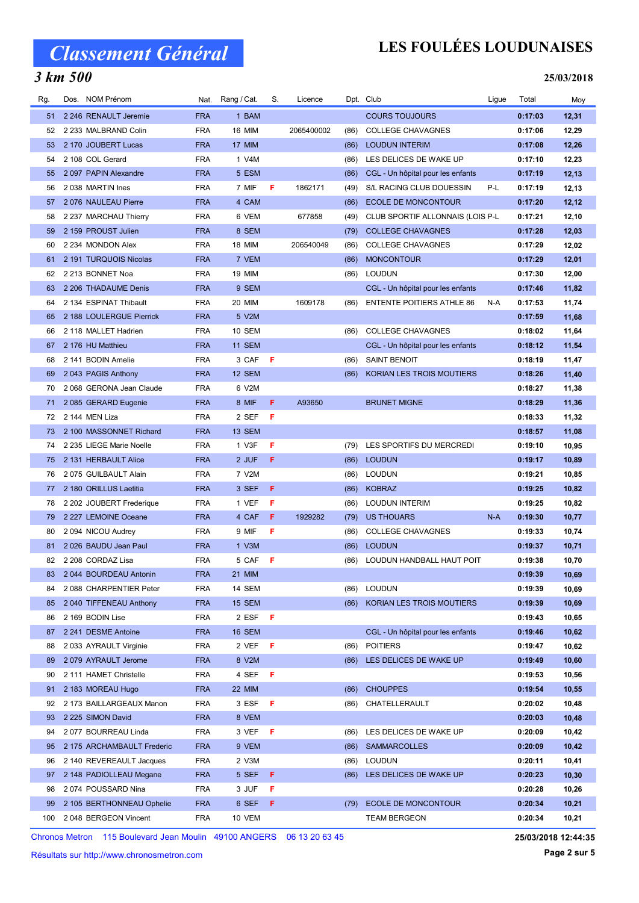## 3 km 500

## LES FOULÉES LOUDUNAISES

25/03/2018

| Rg. | Dos. NOM Prénom            | Nat.       | Rang / Cat.   | S.  | Licence    |      | Dpt. Club                         | Ligue | Total   | Moy   |
|-----|----------------------------|------------|---------------|-----|------------|------|-----------------------------------|-------|---------|-------|
| 51  | 2 246 RENAULT Jeremie      | <b>FRA</b> | 1 BAM         |     |            |      | <b>COURS TOUJOURS</b>             |       | 0:17:03 | 12,31 |
| 52  | 2 233 MALBRAND Colin       | <b>FRA</b> | <b>16 MIM</b> |     | 2065400002 | (86) | <b>COLLEGE CHAVAGNES</b>          |       | 0:17:06 | 12,29 |
| 53  | 2 170 JOUBERT Lucas        | <b>FRA</b> | 17 MIM        |     |            | (86) | <b>LOUDUN INTERIM</b>             |       | 0:17:08 | 12,26 |
| 54  | 2 108 COL Gerard           | <b>FRA</b> | 1 V4M         |     |            | (86) | LES DELICES DE WAKE UP            |       | 0:17:10 | 12,23 |
| 55  | 2097 PAPIN Alexandre       | <b>FRA</b> | 5 ESM         |     |            | (86) | CGL - Un hôpital pour les enfants |       | 0:17:19 | 12,13 |
| 56  | 2038 MARTIN Ines           | <b>FRA</b> | 7 MIF         | F   | 1862171    | (49) | S/L RACING CLUB DOUESSIN          | P-L   | 0:17:19 | 12,13 |
| 57  | 2076 NAULEAU Pierre        | <b>FRA</b> | 4 CAM         |     |            | (86) | ECOLE DE MONCONTOUR               |       | 0:17:20 | 12,12 |
| 58  | 2 237 MARCHAU Thierry      | <b>FRA</b> | 6 VEM         |     | 677858     | (49) | CLUB SPORTIF ALLONNAIS (LOIS P-L  |       | 0:17:21 | 12,10 |
| 59  | 2 159 PROUST Julien        | <b>FRA</b> | 8 SEM         |     |            | (79) | <b>COLLEGE CHAVAGNES</b>          |       | 0:17:28 | 12,03 |
| 60  | 2 234 MONDON Alex          | <b>FRA</b> | <b>18 MIM</b> |     | 206540049  | (86) | <b>COLLEGE CHAVAGNES</b>          |       | 0:17:29 | 12,02 |
| 61  | 2 191 TURQUOIS Nicolas     | <b>FRA</b> | 7 VEM         |     |            | (86) | <b>MONCONTOUR</b>                 |       | 0:17:29 | 12,01 |
| 62  | 2 213 BONNET Noa           | <b>FRA</b> | 19 MIM        |     |            | (86) | <b>LOUDUN</b>                     |       | 0:17:30 | 12,00 |
| 63  | 2 206 THADAUME Denis       | <b>FRA</b> | 9 SEM         |     |            |      | CGL - Un hôpital pour les enfants |       | 0:17:46 | 11,82 |
| 64  | 2 134 ESPINAT Thibault     | <b>FRA</b> | 20 MIM        |     | 1609178    | (86) | <b>ENTENTE POITIERS ATHLE 86</b>  | N-A   | 0:17:53 | 11,74 |
| 65  | 2 188 LOULERGUE Pierrick   | <b>FRA</b> | 5 V2M         |     |            |      |                                   |       | 0:17:59 | 11,68 |
| 66  | 2 118 MALLET Hadrien       | <b>FRA</b> | 10 SEM        |     |            | (86) | <b>COLLEGE CHAVAGNES</b>          |       | 0:18:02 | 11,64 |
| 67  | 2 176 HU Matthieu          | <b>FRA</b> | <b>11 SEM</b> |     |            |      | CGL - Un hôpital pour les enfants |       | 0:18:12 | 11,54 |
| 68  | 2 141 BODIN Amelie         | <b>FRA</b> | 3 CAF         | F   |            | (86) | <b>SAINT BENOIT</b>               |       | 0:18:19 | 11,47 |
| 69  | 2043 PAGIS Anthony         | <b>FRA</b> | 12 SEM        |     |            | (86) | KORIAN LES TROIS MOUTIERS         |       | 0:18:26 | 11,40 |
| 70  | 2068 GERONA Jean Claude    | <b>FRA</b> | 6 V2M         |     |            |      |                                   |       | 0:18:27 | 11,38 |
| 71  | 2085 GERARD Eugenie        | <b>FRA</b> | 8 MIF         | F   | A93650     |      | <b>BRUNET MIGNE</b>               |       | 0:18:29 | 11,36 |
| 72  | 2 144 MEN Liza             | <b>FRA</b> | 2 SEF         | -F  |            |      |                                   |       | 0:18:33 | 11,32 |
| 73  | 2 100 MASSONNET Richard    | <b>FRA</b> | 13 SEM        |     |            |      |                                   |       | 0:18:57 | 11,08 |
| 74  | 2 235 LIEGE Marie Noelle   | <b>FRA</b> | 1 V3F         | F   |            | (79) | LES SPORTIFS DU MERCREDI          |       | 0:19:10 | 10,95 |
| 75  | 2 131 HERBAULT Alice       | <b>FRA</b> | 2 JUF         | F   |            | (86) | <b>LOUDUN</b>                     |       | 0:19:17 | 10,89 |
| 76  | 2075 GUILBAULT Alain       | <b>FRA</b> | 7 V2M         |     |            | (86) | <b>LOUDUN</b>                     |       | 0:19:21 | 10,85 |
| 77  | 2 180 ORILLUS Laetitia     | <b>FRA</b> | 3 SEF         | F   |            | (86) | <b>KOBRAZ</b>                     |       | 0:19:25 | 10,82 |
| 78  | 2 202 JOUBERT Frederique   | <b>FRA</b> | 1 VEF         | F   |            | (86) | <b>LOUDUN INTERIM</b>             |       | 0:19:25 | 10,82 |
| 79  | 2 227 LEMOINE Oceane       | <b>FRA</b> | 4 CAF         | F   | 1929282    | (79) | <b>US THOUARS</b>                 | $N-A$ | 0:19:30 | 10,77 |
| 80  | 2094 NICOU Audrey          | <b>FRA</b> | 9 MIF         | F   |            | (86) | <b>COLLEGE CHAVAGNES</b>          |       | 0:19:33 | 10,74 |
| 81  | 2026 BAUDU Jean Paul       | <b>FRA</b> | 1 V3M         |     |            | (86) | <b>LOUDUN</b>                     |       | 0:19:37 | 10,71 |
| 82  | 2 208 CORDAZ Lisa          | <b>FRA</b> | 5 CAF         | -F  |            | (86) | LOUDUN HANDBALL HAUT POIT         |       | 0:19:38 | 10,70 |
| 83  | 2044 BOURDEAU Antonin      | <b>FRA</b> | <b>21 MIM</b> |     |            |      |                                   |       | 0:19:39 | 10,69 |
| 84  | 2 088 CHARPENTIER Peter    | <b>FRA</b> | 14 SEM        |     |            | (86) | <b>LOUDUN</b>                     |       | 0:19:39 | 10,69 |
| 85  | 2 040 TIFFENEAU Anthony    | <b>FRA</b> | 15 SEM        |     |            | (86) | KORIAN LES TROIS MOUTIERS         |       | 0:19:39 | 10,69 |
| 86  | 2 169 BODIN Lise           | FRA        | 2 ESF         | Æ   |            |      |                                   |       | 0:19:43 | 10,65 |
| 87  | 2 241 DESME Antoine        | <b>FRA</b> | 16 SEM        |     |            |      | CGL - Un hôpital pour les enfants |       | 0:19:46 | 10,62 |
| 88  | 2033 AYRAULT Virginie      | FRA        | 2 VEF         | Æ   |            | (86) | <b>POITIERS</b>                   |       | 0:19:47 | 10,62 |
| 89  | 2079 AYRAULT Jerome        | <b>FRA</b> | 8 V2M         |     |            | (86) | LES DELICES DE WAKE UP            |       | 0:19:49 | 10,60 |
| 90  | 2 111 HAMET Christelle     | FRA        | 4 SEF         | - F |            |      |                                   |       | 0:19:53 | 10,56 |
| 91  | 2 183 MOREAU Hugo          | <b>FRA</b> | 22 MIM        |     |            | (86) | <b>CHOUPPES</b>                   |       | 0:19:54 | 10,55 |
| 92  | 2 173 BAILLARGEAUX Manon   | <b>FRA</b> | 3 ESF         | F   |            | (86) | CHATELLERAULT                     |       | 0:20:02 | 10,48 |
| 93  | 2 225 SIMON David          | <b>FRA</b> | 8 VEM         |     |            |      |                                   |       | 0:20:03 | 10,48 |
| 94  | 2077 BOURREAU Linda        | <b>FRA</b> | 3 VEF         | -F  |            | (86) | LES DELICES DE WAKE UP            |       | 0:20:09 | 10,42 |
| 95  | 2 175 ARCHAMBAULT Frederic | <b>FRA</b> | 9 VEM         |     |            | (86) | <b>SAMMARCOLLES</b>               |       | 0:20:09 | 10,42 |
| 96  | 2 140 REVEREAULT Jacques   | <b>FRA</b> | 2 V3M         |     |            | (86) | <b>LOUDUN</b>                     |       | 0:20:11 | 10,41 |
| 97  | 2 148 PADIOLLEAU Megane    | <b>FRA</b> | 5 SEF         | F   |            | (86) | LES DELICES DE WAKE UP            |       | 0:20:23 | 10,30 |
| 98  | 2074 POUSSARD Nina         | FRA        | 3 JUF         | F   |            |      |                                   |       | 0:20:28 | 10,26 |
| 99  | 2 105 BERTHONNEAU Ophelie  | <b>FRA</b> | 6 SEF         | F   |            | (79) | <b>ECOLE DE MONCONTOUR</b>        |       | 0:20:34 | 10,21 |
| 100 | 2048 BERGEON Vincent       | FRA        | 10 VEM        |     |            |      | <b>TEAM BERGEON</b>               |       | 0:20:34 | 10,21 |

Chronos Metron 115 Boulevard Jean Moulin 49100 ANGERS 06 13 20 63 45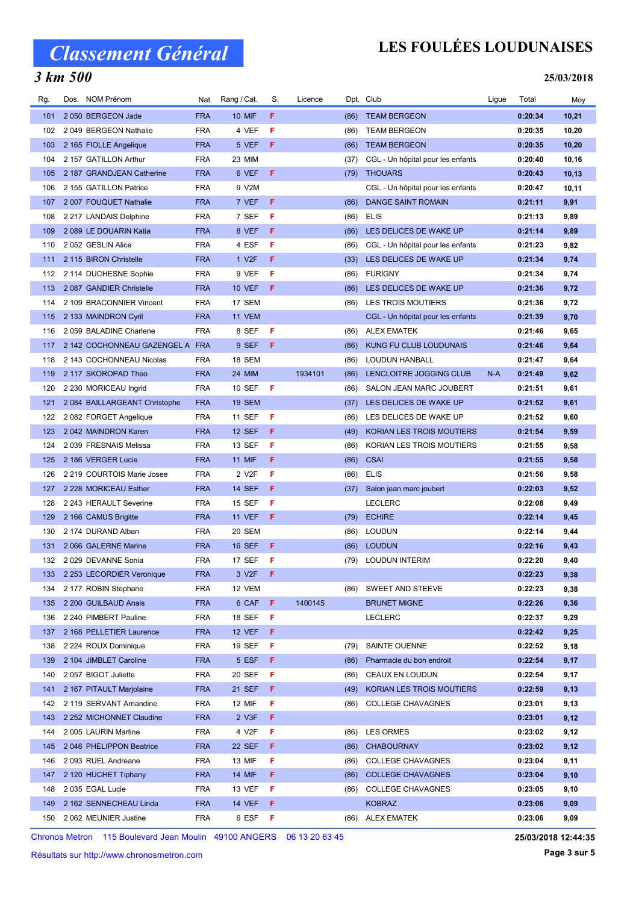## 3 km 500

## LES FOULÉES LOUDUNAISES

#### 25/03/2018

| Rg. | Dos. NOM Prénom                 | Nat.       | Rang / Cat.        | S. | Licence |      | Dpt. Club                         | Ligue | Total   | Moy    |
|-----|---------------------------------|------------|--------------------|----|---------|------|-----------------------------------|-------|---------|--------|
| 101 | 2 050 BERGEON Jade              | <b>FRA</b> | <b>10 MIF</b>      | F  |         | (86) | <b>TEAM BERGEON</b>               |       | 0:20:34 | 10,21  |
| 102 | 2049 BERGEON Nathalie           | <b>FRA</b> | 4 VEF              | F  |         | (86) | <b>TEAM BERGEON</b>               |       | 0:20:35 | 10,20  |
| 103 | 2 165 FIOLLE Angelique          | <b>FRA</b> | 5 VEF              | F  |         | (86) | <b>TEAM BERGEON</b>               |       | 0:20:35 | 10,20  |
| 104 | 2 157 GATILLON Arthur           | <b>FRA</b> | 23 MIM             |    |         | (37) | CGL - Un hôpital pour les enfants |       | 0:20:40 | 10,16  |
| 105 | 2 187 GRANDJEAN Catherine       | <b>FRA</b> | 6 VEF              | F  |         | (79) | <b>THOUARS</b>                    |       | 0:20:43 | 10, 13 |
| 106 | 2 155 GATILLON Patrice          | <b>FRA</b> | 9 V2M              |    |         |      | CGL - Un hôpital pour les enfants |       | 0:20:47 | 10,11  |
| 107 | 2 007 FOUQUET Nathalie          | <b>FRA</b> | 7 VEF              | F  |         | (86) | <b>DANGE SAINT ROMAIN</b>         |       | 0:21:11 | 9,91   |
| 108 | 2 217 LANDAIS Delphine          | <b>FRA</b> | 7 SEF              | F  |         | (86) | <b>ELIS</b>                       |       | 0:21:13 | 9,89   |
| 109 | 2 089 LE DOUARIN Katia          | <b>FRA</b> | 8 VEF              | F  |         | (86) | LES DELICES DE WAKE UP            |       | 0:21:14 | 9,89   |
| 110 | 2052 GESLIN Alice               | <b>FRA</b> | 4 ESF              | F  |         | (86) | CGL - Un hôpital pour les enfants |       | 0:21:23 | 9,82   |
| 111 | 2 115 BIRON Christelle          | <b>FRA</b> | 1 V <sub>2</sub> F | F  |         | (33) | LES DELICES DE WAKE UP            |       | 0:21:34 | 9,74   |
| 112 | 2 114 DUCHESNE Sophie           | <b>FRA</b> | 9 VEF              | F  |         | (86) | <b>FURIGNY</b>                    |       | 0:21:34 | 9,74   |
| 113 | 2 087 GANDIER Christelle        | <b>FRA</b> | <b>10 VEF</b>      | F  |         | (86) | LES DELICES DE WAKE UP            |       | 0:21:36 | 9,72   |
| 114 | 2 109 BRACONNIER Vincent        | <b>FRA</b> | 17 SEM             |    |         | (86) | <b>LES TROIS MOUTIERS</b>         |       | 0:21:36 | 9,72   |
| 115 | 2 133 MAINDRON Cyril            | <b>FRA</b> | 11 VEM             |    |         |      | CGL - Un hôpital pour les enfants |       | 0:21:39 | 9,70   |
| 116 | 2 059 BALADINE Charlene         | <b>FRA</b> | 8 SEF              | F  |         | (86) | <b>ALEX EMATEK</b>                |       | 0:21:46 | 9,65   |
| 117 | 2 142 COCHONNEAU GAZENGEL A FRA |            | 9 SEF              | F  |         | (86) | KUNG FU CLUB LOUDUNAIS            |       | 0:21:46 | 9,64   |
| 118 | 2 143 COCHONNEAU Nicolas        | <b>FRA</b> | 18 SEM             |    |         | (86) | LOUDUN HANBALL                    |       | 0:21:47 | 9,64   |
| 119 | 2 117 SKOROPAD Theo             | <b>FRA</b> | <b>24 MIM</b>      |    | 1934101 | (86) | LENCLOITRE JOGGING CLUB           | N-A   | 0:21:49 | 9,62   |
| 120 | 2 230 MORICEAU Ingrid           | <b>FRA</b> | 10 SEF             | F  |         | (86) | SALON JEAN MARC JOUBERT           |       | 0:21:51 | 9,61   |
| 121 | 2084 BAILLARGEANT Christophe    | <b>FRA</b> | <b>19 SEM</b>      |    |         | (37) | LES DELICES DE WAKE UP            |       | 0:21:52 | 9,61   |
| 122 | 2082 FORGET Angelique           | <b>FRA</b> | 11 SEF             | F  |         | (86) | LES DELICES DE WAKE UP            |       | 0:21:52 | 9,60   |
| 123 | 2042 MAINDRON Karen             | <b>FRA</b> | <b>12 SEF</b>      | F  |         | (49) | KORIAN LES TROIS MOUTIERS         |       | 0:21:54 | 9,59   |
| 124 | 2039 FRESNAIS Melissa           | <b>FRA</b> | 13 SEF             | F  |         | (86) | KORIAN LES TROIS MOUTIERS         |       | 0:21:55 | 9,58   |
| 125 | 2 186 VERGER Lucie              | <b>FRA</b> | <b>11 MIF</b>      | F  |         | (86) | <b>CSAI</b>                       |       | 0:21:55 | 9,58   |
| 126 | 2 219 COURTOIS Marie Josee      | <b>FRA</b> | 2 V <sub>2</sub> F | F  |         | (86) | <b>ELIS</b>                       |       | 0:21:56 | 9,58   |
| 127 | 2 228 MORICEAU Esther           | <b>FRA</b> | <b>14 SEF</b>      | F  |         | (37) | Salon jean marc joubert           |       | 0:22:03 | 9,52   |
| 128 | 2 243 HERAULT Severine          | <b>FRA</b> | <b>15 SEF</b>      | F  |         |      | <b>LECLERC</b>                    |       | 0:22:08 | 9,49   |
| 129 | 2 166 CAMUS Brigitte            | <b>FRA</b> | <b>11 VEF</b>      | F  |         | (79) | <b>ECHIRE</b>                     |       | 0:22:14 | 9,45   |
| 130 | 2 174 DURAND Alban              | <b>FRA</b> | 20 SEM             |    |         | (86) | <b>LOUDUN</b>                     |       | 0:22:14 | 9,44   |
| 131 | 2066 GALERNE Marine             | <b>FRA</b> | <b>16 SEF</b>      | F  |         | (86) | <b>LOUDUN</b>                     |       | 0:22:16 | 9,43   |
| 132 | 2029 DEVANNE Sonia              | <b>FRA</b> | 17 SEF             | F  |         | (79) | <b>LOUDUN INTERIM</b>             |       | 0:22:20 | 9,40   |
|     | 133 2 253 LECORDIER Veronique   | <b>FRA</b> | 3 V2F <b>F</b>     |    |         |      |                                   |       | 0:22:23 | 9,38   |
| 134 | 2 177 ROBIN Stephane            | <b>FRA</b> | 12 VEM             |    |         | (86) | SWEET AND STEEVE                  |       | 0:22:23 | 9,38   |
| 135 | 2 200 GUILBAUD Anais            | <b>FRA</b> | 6 CAF              | F. | 1400145 |      | <b>BRUNET MIGNE</b>               |       | 0:22:26 | 9,36   |
| 136 | 2 240 PIMBERT Pauline           | <b>FRA</b> | 18 SEF             | F  |         |      | <b>LECLERC</b>                    |       | 0:22:37 | 9,29   |
| 137 | 2 168 PELLETIER Laurence        | <b>FRA</b> | <b>12 VEF</b>      | F  |         |      |                                   |       | 0:22:42 | 9,25   |
| 138 | 2 224 ROUX Dominique            | <b>FRA</b> | 19 SEF             | F  |         | (79) | SAINTE OUENNE                     |       | 0:22:52 | 9,18   |
| 139 | 2 104 JIMBLET Caroline          | <b>FRA</b> | 5 ESF              | F. |         | (86) | Pharmacie du bon endroit          |       | 0:22:54 | 9,17   |
| 140 | 2057 BIGOT Juliette             | <b>FRA</b> | 20 SEF             | F  |         | (86) | <b>CEAUX EN LOUDUN</b>            |       | 0:22:54 | 9,17   |
| 141 | 2 167 PITAULT Marjolaine        | <b>FRA</b> | 21 SEF             | F. |         | (49) | KORIAN LES TROIS MOUTIERS         |       | 0:22:59 | 9,13   |
| 142 | 2 119 SERVANT Amandine          | <b>FRA</b> | 12 MIF             | F  |         | (86) | <b>COLLEGE CHAVAGNES</b>          |       | 0:23:01 | 9,13   |
| 143 | 2 252 MICHONNET Claudine        | <b>FRA</b> | 2 V3F              | F  |         |      |                                   |       | 0:23:01 | 9,12   |
| 144 | 2 005 LAURIN Martine            | <b>FRA</b> | 4 V2F              | F  |         | (86) | <b>LES ORMES</b>                  |       | 0:23:02 | 9,12   |
| 145 | 2046 PHELIPPON Beatrice         | <b>FRA</b> | <b>22 SEF</b>      | F. |         | (86) | <b>CHABOURNAY</b>                 |       | 0:23:02 | 9,12   |
| 146 | 2 093 RUEL Andreane             | <b>FRA</b> | 13 MIF             | F  |         | (86) | <b>COLLEGE CHAVAGNES</b>          |       | 0:23:04 | 9,11   |
| 147 | 2 120 HUCHET Tiphany            | <b>FRA</b> | <b>14 MIF</b>      | F  |         | (86) | <b>COLLEGE CHAVAGNES</b>          |       | 0:23:04 | 9,10   |
| 148 | 2 035 EGAL Lucie                | <b>FRA</b> | 13 VEF             | F. |         | (86) | <b>COLLEGE CHAVAGNES</b>          |       | 0:23:05 | 9,10   |
| 149 | 2 162 SENNECHEAU Linda          | <b>FRA</b> | <b>14 VEF</b>      | F  |         |      | <b>KOBRAZ</b>                     |       | 0:23:06 | 9,09   |
| 150 | 2 062 MEUNIER Justine           | <b>FRA</b> | 6 ESF              | F  |         | (86) | <b>ALEX EMATEK</b>                |       | 0:23:06 | 9,09   |
|     |                                 |            |                    |    |         |      |                                   |       |         |        |

Chronos Metron 115 Boulevard Jean Moulin 49100 ANGERS 06 13 20 63 45

Résultats sur http://www.chronosmetron.com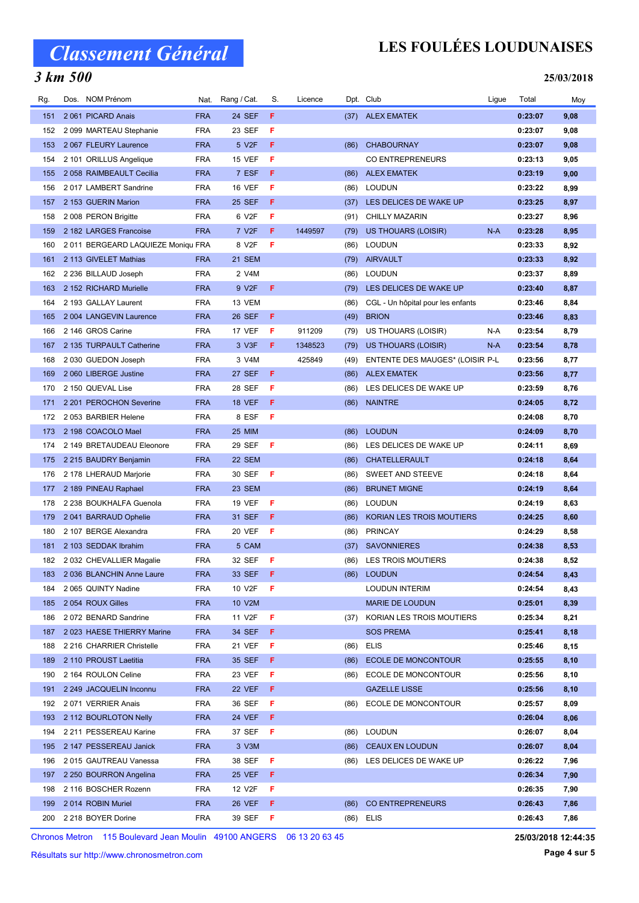## 3 km 500

## LES FOULÉES LOUDUNAISES

#### 25/03/2018

| Rg. | Dos. NOM Prénom                   |            | Nat. Rang / Cat.   | S.  | Licence |      | Dpt. Club                         | Ligue | Total   | Moy  |
|-----|-----------------------------------|------------|--------------------|-----|---------|------|-----------------------------------|-------|---------|------|
| 151 | 2061 PICARD Anais                 | <b>FRA</b> | 24 SEF             | F   |         |      | (37) ALEX EMATEK                  |       | 0:23:07 | 9,08 |
| 152 | 2 099 MARTEAU Stephanie           | <b>FRA</b> | 23 SEF             | F   |         |      |                                   |       | 0:23:07 | 9,08 |
| 153 | 2067 FLEURY Laurence              | <b>FRA</b> | 5 V <sub>2</sub> F | F   |         | (86) | <b>CHABOURNAY</b>                 |       | 0:23:07 | 9,08 |
| 154 | 2 101 ORILLUS Angelique           | <b>FRA</b> | 15 VEF             | F   |         |      | <b>CO ENTREPRENEURS</b>           |       | 0:23:13 | 9,05 |
| 155 | 2 058 RAIMBEAULT Cecilia          | <b>FRA</b> | 7 ESF              | F   |         | (86) | <b>ALEX EMATEK</b>                |       | 0:23:19 | 9,00 |
| 156 | 2017 LAMBERT Sandrine             | <b>FRA</b> | 16 VEF             | F   |         | (86) | LOUDUN                            |       | 0:23:22 | 8,99 |
| 157 | 2 153 GUERIN Marion               | <b>FRA</b> | 25 SEF             | F   |         | (37) | LES DELICES DE WAKE UP            |       | 0:23:25 | 8,97 |
| 158 | 2008 PERON Brigitte               | <b>FRA</b> | 6 V2F              | F   |         | (91) | <b>CHILLY MAZARIN</b>             |       | 0:23:27 | 8,96 |
| 159 | 2 182 LARGES Francoise            | <b>FRA</b> | 7 V <sub>2</sub> F | F   | 1449597 | (79) | US THOUARS (LOISIR)               | $N-A$ | 0:23:28 | 8,95 |
| 160 | 2011 BERGEARD LAQUIEZE Moniqu FRA |            | 8 V2F              | F   |         | (86) | <b>LOUDUN</b>                     |       | 0:23:33 | 8,92 |
| 161 | 2 113 GIVELET Mathias             | <b>FRA</b> | 21 SEM             |     |         | (79) | <b>AIRVAULT</b>                   |       | 0:23:33 | 8,92 |
| 162 | 2 236 BILLAUD Joseph              | <b>FRA</b> | 2 V4M              |     |         | (86) | LOUDUN                            |       | 0:23:37 | 8,89 |
| 163 | 2 152 RICHARD Murielle            | <b>FRA</b> | 9 V2F              | F   |         |      | (79) LES DELICES DE WAKE UP       |       | 0:23:40 | 8,87 |
| 164 | 2 193 GALLAY Laurent              | <b>FRA</b> | 13 VEM             |     |         | (86) | CGL - Un hôpital pour les enfants |       | 0:23:46 | 8,84 |
| 165 | 2004 LANGEVIN Laurence            | <b>FRA</b> | 26 SEF             | F   |         | (49) | <b>BRION</b>                      |       | 0:23:46 | 8,83 |
| 166 | 2 146 GROS Carine                 | <b>FRA</b> | 17 VEF             | F   | 911209  | (79) | US THOUARS (LOISIR)               | N-A   | 0:23:54 | 8,79 |
| 167 | 2 135 TURPAULT Catherine          | <b>FRA</b> | 3 V3F              | F.  | 1348523 | (79) | US THOUARS (LOISIR)               | N-A   | 0:23:54 | 8,78 |
| 168 | 2 030 GUEDON Joseph               | <b>FRA</b> | 3 V4M              |     | 425849  | (49) | ENTENTE DES MAUGES* (LOISIR P-L   |       | 0:23:56 | 8,77 |
| 169 | 2060 LIBERGE Justine              | <b>FRA</b> | <b>27 SEF</b>      | F   |         | (86) | <b>ALEX EMATEK</b>                |       | 0:23:56 | 8,77 |
| 170 | 2 150 QUEVAL Lise                 | <b>FRA</b> | 28 SEF             | F   |         | (86) | LES DELICES DE WAKE UP            |       | 0:23:59 | 8,76 |
| 171 | 2 201 PEROCHON Severine           | <b>FRA</b> | <b>18 VEF</b>      | F   |         | (86) | <b>NAINTRE</b>                    |       | 0:24:05 | 8,72 |
| 172 | 2053 BARBIER Helene               | <b>FRA</b> | 8 ESF              | - F |         |      |                                   |       | 0:24:08 | 8,70 |
| 173 | 2 198 COACOLO Mael                | <b>FRA</b> | <b>25 MIM</b>      |     |         | (86) | <b>LOUDUN</b>                     |       | 0:24:09 | 8,70 |
| 174 | 2 149 BRETAUDEAU Eleonore         | <b>FRA</b> | 29 SEF             | F   |         |      | (86) LES DELICES DE WAKE UP       |       | 0:24:11 | 8,69 |
| 175 | 2 215 BAUDRY Benjamin             | <b>FRA</b> | 22 SEM             |     |         | (86) | CHATELLERAULT                     |       | 0:24:18 | 8,64 |
| 176 | 2 178 LHERAUD Marjorie            | <b>FRA</b> | 30 SEF             | - F |         | (86) | SWEET AND STEEVE                  |       | 0:24:18 | 8,64 |
| 177 | 2 189 PINEAU Raphael              | <b>FRA</b> | 23 SEM             |     |         | (86) | <b>BRUNET MIGNE</b>               |       | 0:24:19 | 8,64 |
| 178 | 2 238 BOUKHALFA Guenola           | <b>FRA</b> | <b>19 VEF</b>      | F   |         | (86) | <b>LOUDUN</b>                     |       | 0:24:19 | 8,63 |
| 179 | 2041 BARRAUD Ophelie              | <b>FRA</b> | 31 SEF             | F   |         | (86) | KORIAN LES TROIS MOUTIERS         |       | 0:24:25 | 8,60 |
| 180 | 2 107 BERGE Alexandra             | <b>FRA</b> | <b>20 VEF</b>      | F   |         | (86) | <b>PRINCAY</b>                    |       | 0:24:29 | 8,58 |
| 181 | 2 103 SEDDAK Ibrahim              | <b>FRA</b> | 5 CAM              |     |         | (37) | <b>SAVONNIERES</b>                |       | 0:24:38 | 8,53 |
| 182 | 2 032 CHEVALLIER Magalie          | <b>FRA</b> | 32 SEF             | - F |         | (86) | LES TROIS MOUTIERS                |       | 0:24:38 | 8,52 |
|     | 183 2 036 BLANCHIN Anne Laure     | <b>FRA</b> | 33 SEF F           |     |         |      | (86) LOUDUN                       |       | 0:24:54 | 8,43 |
| 184 | 2065 QUINTY Nadine                | <b>FRA</b> | 10 V2F             | F   |         |      | <b>LOUDUN INTERIM</b>             |       | 0:24:54 | 8,43 |
| 185 | 2054 ROUX Gilles                  | <b>FRA</b> | 10 V2M             |     |         |      | MARIE DE LOUDUN                   |       | 0:25:01 | 8,39 |
| 186 | 2072 BENARD Sandrine              | <b>FRA</b> | 11 V2F             | F   |         | (37) | KORIAN LES TROIS MOUTIERS         |       | 0:25:34 | 8,21 |
| 187 | 2023 HAESE THIERRY Marine         | <b>FRA</b> | 34 SEF             | F   |         |      | <b>SOS PREMA</b>                  |       | 0:25:41 | 8,18 |
| 188 | 2 216 CHARRIER Christelle         | <b>FRA</b> | 21 VEF             | F   |         | (86) | <b>ELIS</b>                       |       | 0:25:46 | 8,15 |
| 189 | 2 110 PROUST Laetitia             | <b>FRA</b> | 35 SEF             | F   |         | (86) | <b>ECOLE DE MONCONTOUR</b>        |       | 0:25:55 | 8,10 |
| 190 | 2 164 ROULON Celine               | <b>FRA</b> | 23 VEF             | F   |         | (86) | ECOLE DE MONCONTOUR               |       | 0:25:56 | 8,10 |
| 191 | 2 249 JACQUELIN Inconnu           | <b>FRA</b> | 22 VEF             | F   |         |      | <b>GAZELLE LISSE</b>              |       | 0:25:56 | 8,10 |
| 192 | 2071 VERRIER Anais                | <b>FRA</b> | 36 SEF             | F   |         | (86) | ECOLE DE MONCONTOUR               |       | 0:25:57 | 8,09 |
| 193 | 2 112 BOURLOTON Nelly             | <b>FRA</b> | <b>24 VEF</b>      | F.  |         |      |                                   |       | 0:26:04 | 8,06 |
| 194 | 2 211 PESSEREAU Karine            | <b>FRA</b> | 37 SEF             | - F |         | (86) | <b>LOUDUN</b>                     |       | 0:26:07 | 8,04 |
| 195 | 2 147 PESSEREAU Janick            | <b>FRA</b> | 3 V3M              |     |         | (86) | <b>CEAUX EN LOUDUN</b>            |       | 0:26:07 | 8,04 |
| 196 | 2015 GAUTREAU Vanessa             | <b>FRA</b> | 38 SEF             | F   |         |      | (86) LES DELICES DE WAKE UP       |       | 0:26:22 | 7,96 |
| 197 | 2 250 BOURRON Angelina            | <b>FRA</b> | <b>25 VEF</b>      | F.  |         |      |                                   |       | 0:26:34 | 7,90 |
| 198 | 2 116 BOSCHER Rozenn              | <b>FRA</b> | 12 V2F             | F.  |         |      |                                   |       | 0:26:35 | 7,90 |
| 199 | 2014 ROBIN Muriel                 | <b>FRA</b> | 26 VEF             | F   |         | (86) | <b>CO ENTREPRENEURS</b>           |       | 0:26:43 | 7,86 |
| 200 | 2 218 BOYER Dorine                | FRA        | 39 SEF             | - F |         | (86) | <b>ELIS</b>                       |       | 0:26:43 | 7,86 |

Chronos Metron 115 Boulevard Jean Moulin 49100 ANGERS 06 13 20 63 45